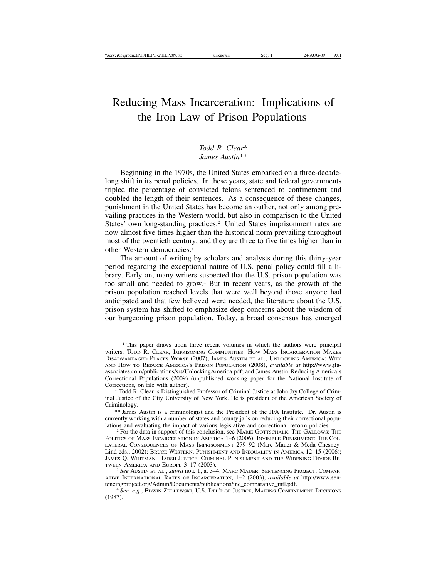# Reducing Mass Incarceration: Implications of the Iron Law of Prison Populations<sup>1</sup>

# *Todd R. Clear*\* *James Austin*\*\*

Beginning in the 1970s, the United States embarked on a three-decadelong shift in its penal policies. In these years, state and federal governments tripled the percentage of convicted felons sentenced to confinement and doubled the length of their sentences. As a consequence of these changes, punishment in the United States has become an outlier, not only among prevailing practices in the Western world, but also in comparison to the United States' own long-standing practices.<sup>2</sup> United States imprisonment rates are now almost five times higher than the historical norm prevailing throughout most of the twentieth century, and they are three to five times higher than in other Western democracies.3

The amount of writing by scholars and analysts during this thirty-year period regarding the exceptional nature of U.S. penal policy could fill a library. Early on, many writers suspected that the U.S. prison population was too small and needed to grow.4 But in recent years, as the growth of the prison population reached levels that were well beyond those anyone had anticipated and that few believed were needed, the literature about the U.S. prison system has shifted to emphasize deep concerns about the wisdom of our burgeoning prison population. Today, a broad consensus has emerged

<sup>&</sup>lt;sup>1</sup> This paper draws upon three recent volumes in which the authors were principal writers: TODD R. CLEAR, IMPRISONING COMMUNITIES: HOW MASS INCARCERATION MAKES DISADVANTAGED PLACES WORSE (2007); JAMES AUSTIN ET AL., UNLOCKING AMERICA: WHY AND HOW TO REDUCE AMERICA'S PRISON POPULATION (2008), *available at* http://www.jfaassociates.com/publications/srs/UnlockingAmerica.pdf; and James Austin, Reducing America's Correctional Populations (2009) (unpublished working paper for the National Institute of Corrections, on file with author).

<sup>\*</sup> Todd R. Clear is Distinguished Professor of Criminal Justice at John Jay College of Criminal Justice of the City University of New York. He is president of the American Society of Criminology.

<sup>\*\*</sup> James Austin is a criminologist and the President of the JFA Institute. Dr. Austin is currently working with a number of states and county jails on reducing their correctional populations and evaluating the impact of various legislative and correctional reform policies.

<sup>&</sup>lt;sup>2</sup> For the data in support of this conclusion, see MARIE GOTTSCHALK, THE GALLOWS: THE POLITICS OF MASS INCARCERATION IN AMERICA 1–6 (2006); INVISIBLE PUNISHMENT: THE COL-LATERAL CONSEQUENCES OF MASS IMPRISONMENT 279–92 (Marc Mauer & Meda Chesney-Lind eds., 2002); BRUCE WESTERN, PUNISHMENT AND INEQUALITY IN AMERICA 12–15 (2006); JAMES Q. WHITMAN, HARSH JUSTICE: CRIMINAL PUNISHMENT AND THE WIDENING DIVIDE BETWEEN AMERICA AND EUROPE 3–17 (2003).

See Austin et al., *supra* note 1, at 3-4; MARC MAUER, SENTENCING PROJECT, COMPAR-ATIVE INTERNATIONAL RATES OF INCARCERATION, 1-2 (2003), *available at* http://www.sentencingproject.org/Admin/Documents/publications/inc\_comparative\_intl.pdf.

<sup>&</sup>lt;sup>4</sup> See, e.g., EDWIN ZEDLEWSKI, U.S. DEP'T OF JUSTICE, MAKING CONFINEMENT DECISIONS (1987).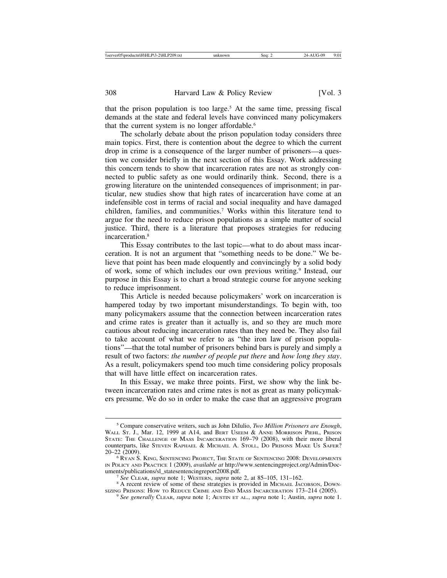that the prison population is too large.<sup>5</sup> At the same time, pressing fiscal demands at the state and federal levels have convinced many policymakers that the current system is no longer affordable.<sup>6</sup>

The scholarly debate about the prison population today considers three main topics. First, there is contention about the degree to which the current drop in crime is a consequence of the larger number of prisoners—a question we consider briefly in the next section of this Essay. Work addressing this concern tends to show that incarceration rates are not as strongly connected to public safety as one would ordinarily think. Second, there is a growing literature on the unintended consequences of imprisonment; in particular, new studies show that high rates of incarceration have come at an indefensible cost in terms of racial and social inequality and have damaged children, families, and communities.7 Works within this literature tend to argue for the need to reduce prison populations as a simple matter of social justice. Third, there is a literature that proposes strategies for reducing incarceration.8

This Essay contributes to the last topic—what to do about mass incarceration. It is not an argument that "something needs to be done." We believe that point has been made eloquently and convincingly by a solid body of work, some of which includes our own previous writing.9 Instead, our purpose in this Essay is to chart a broad strategic course for anyone seeking to reduce imprisonment.

This Article is needed because policymakers' work on incarceration is hampered today by two important misunderstandings. To begin with, too many policymakers assume that the connection between incarceration rates and crime rates is greater than it actually is, and so they are much more cautious about reducing incarceration rates than they need be. They also fail to take account of what we refer to as "the iron law of prison populations"—that the total number of prisoners behind bars is purely and simply a result of two factors: *the number of people put there* and *how long they stay*. As a result, policymakers spend too much time considering policy proposals that will have little effect on incarceration rates.

In this Essay, we make three points. First, we show why the link between incarceration rates and crime rates is not as great as many policymakers presume. We do so in order to make the case that an aggressive program

<sup>5</sup> Compare conservative writers, such as John DiIulio, *Two Million Prisoners are Enough*, WALL ST. J., Mar. 12, 1999 at A14, and BERT USEEM & ANNE MORRISON PIEHL, PRISON STATE: THE CHALLENGE OF MASS INCARCERATION 169–79 (2008), with their more liberal counterparts, like STEVEN RAPHAEL & MICHAEL A. STOLL, DO PRISONS MAKE US SAFER? 20–22 (2009).

<sup>&</sup>lt;sup>6</sup> RYAN S. KING, SENTENCING PROJECT, THE STATE OF SENTENCING 2008: DEVELOPMENTS IN POLICY AND PRACTICE 1 (2009), *available at* http://www.sentencingproject.org/Admin/Doc-

<sup>&</sup>lt;sup>7</sup> See CLEAR, supra note 1; WESTERN, supra note 2, at 85–105, 131–162.<br><sup>8</sup> A recent review of some of these strategies is provided in MICHAEL JACOBSON, DOWN-<br>SIZING PRISONS: HOW TO REDUCE CRIME AND END MASS INCARCERATION

SIZING PRISONS: HOW TO REDUCE CRIME AND END MASS INCARCERATION 173–214 (2005). <sup>9</sup> *See generally* CLEAR, *supra* note 1; AUSTIN ET AL., *supra* note 1; Austin, *supra* note 1.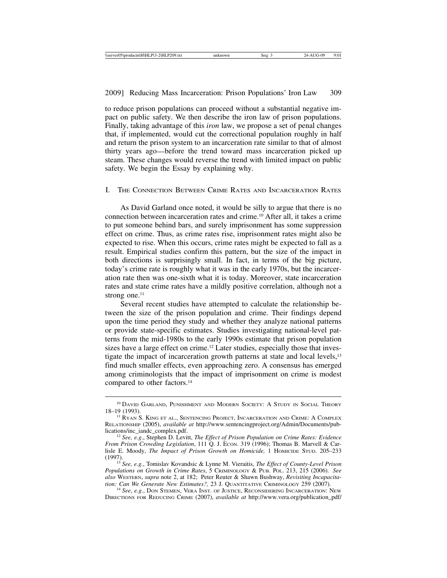to reduce prison populations can proceed without a substantial negative impact on public safety. We then describe the iron law of prison populations. Finally, taking advantage of this *iron* law, we propose a set of penal changes that, if implemented, would cut the correctional population roughly in half and return the prison system to an incarceration rate similar to that of almost thirty years ago—before the trend toward mass incarceration picked up steam. These changes would reverse the trend with limited impact on public safety. We begin the Essay by explaining why.

## I. THE CONNECTION BETWEEN CRIME RATES AND INCARCERATION RATES

As David Garland once noted, it would be silly to argue that there is no connection between incarceration rates and crime.<sup>10</sup> After all, it takes a crime to put someone behind bars, and surely imprisonment has some suppression effect on crime. Thus, as crime rates rise, imprisonment rates might also be expected to rise. When this occurs, crime rates might be expected to fall as a result. Empirical studies confirm this pattern, but the size of the impact in both directions is surprisingly small. In fact, in terms of the big picture, today's crime rate is roughly what it was in the early 1970s, but the incarceration rate then was one-sixth what it is today. Moreover, state incarceration rates and state crime rates have a mildly positive correlation, although not a strong one.<sup>11</sup>

Several recent studies have attempted to calculate the relationship between the size of the prison population and crime. Their findings depend upon the time period they study and whether they analyze national patterns or provide state-specific estimates. Studies investigating national-level patterns from the mid-1980s to the early 1990s estimate that prison population sizes have a large effect on crime.<sup>12</sup> Later studies, especially those that investigate the impact of incarceration growth patterns at state and local levels,<sup>13</sup> find much smaller effects, even approaching zero. A consensus has emerged among criminologists that the impact of imprisonment on crime is modest compared to other factors.14

<sup>&</sup>lt;sup>10</sup> DAVID GARLAND, PUNISHMENT AND MODERN SOCIETY: A STUDY IN SOCIAL THEORY 18–19 (1993).

<sup>&</sup>lt;sup>11</sup> RYAN S. KING ET AL., SENTENCING PROJECT, INCARCERATION AND CRIME: A COMPLEX RELATIONSHIP (2005), *available at* http://www.sentencingproject.org/Admin/Documents/pub-lications/inc\_iandc\_complex.pdf.

<sup>&</sup>lt;sup>12</sup> See, e.g., Stephen D. Levitt, *The Effect of Prison Population on Crime Rates: Evidence From Prison Crowding Legislation*, 111 Q. J. ECON. 319 (1996); Thomas B. Marvell & Carlisle E. Moody, *The Impact of Prison Growth on Homicide*, 1 HOMICIDE STUD. 205–233 (1997).

<sup>&</sup>lt;sup>13</sup> *See, e.g.*, Tomislav Kovandsic & Lynne M. Vieraitis, *The Effect of County-Level Prison Populations on Growth in Crime Rates*, 5 CRIMINOLOGY & PUB. POL. 213, 215 (2006). *See also* WESTERN, *supra* note 2, at 182; Peter Reuter & Shawn Bushway, *Revisiting Incapacita-*

<sup>&</sup>lt;sup>14</sup> See, e.g., DON STEMEN, VERA INST. OF JUSTICE, RECONSIDERING INCARCERATION: NEW DIRECTIONS FOR REDUCING CRIME (2007), *available at* http://www.vera.org/publication\_pdf/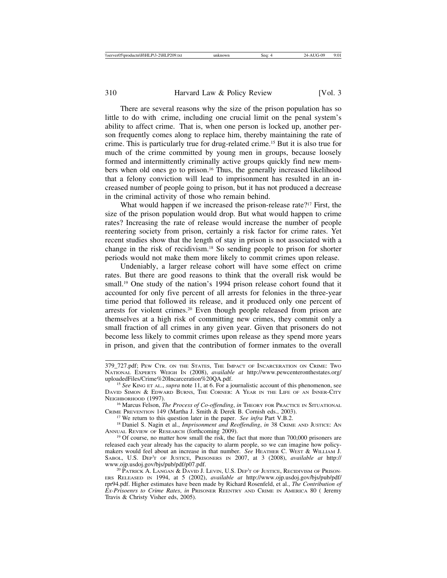There are several reasons why the size of the prison population has so little to do with crime, including one crucial limit on the penal system's ability to affect crime. That is, when one person is locked up, another person frequently comes along to replace him, thereby maintaining the rate of crime. This is particularly true for drug-related crime.15 But it is also true for much of the crime committed by young men in groups, because loosely formed and intermittently criminally active groups quickly find new members when old ones go to prison.16 Thus, the generally increased likelihood that a felony conviction will lead to imprisonment has resulted in an increased number of people going to prison, but it has not produced a decrease in the criminal activity of those who remain behind.

What would happen if we increased the prison-release rate?<sup>17</sup> First, the size of the prison population would drop. But what would happen to crime rates? Increasing the rate of release would increase the number of people reentering society from prison, certainly a risk factor for crime rates. Yet recent studies show that the length of stay in prison is not associated with a change in the risk of recidivism.18 So sending people to prison for shorter periods would not make them more likely to commit crimes upon release.

Undeniably, a larger release cohort will have some effect on crime rates. But there are good reasons to think that the overall risk would be small.<sup>19</sup> One study of the nation's 1994 prison release cohort found that it accounted for only five percent of all arrests for felonies in the three-year time period that followed its release, and it produced only one percent of arrests for violent crimes.<sup>20</sup> Even though people released from prison are themselves at a high risk of committing new crimes, they commit only a small fraction of all crimes in any given year. Given that prisoners do not become less likely to commit crimes upon release as they spend more years in prison, and given that the contribution of former inmates to the overall

<sup>16</sup> Marcus Felson, *The Process of Co-offending*, *in* THEORY FOR PRACTICE IN SITUATIONAL CRIME PREVENTION 149 (Martha J. Smith & Derek B. Cornish eds., 2003).

<sup>17</sup> We return to this question later in the paper. *See infra* Part V.B.2.<br><sup>18</sup> Daniel S. Nagin et al., *Imprisonment and Reoffending*, *in* 38 CRIME AND JUSTICE: AN ANNUAL REVIEW OF RESEARCH (forthcoming 2009).

 $<sup>19</sup>$  Of course, no matter how small the risk, the fact that more than 700,000 prisoners are</sup> released each year already has the capacity to alarm people, so we can imagine how policymakers would feel about an increase in that number. *See* HEATHER C. WEST & WILLIAM J. SABOL, U.S. DEP'T OF JUSTICE, PRISONERS IN 2007, at 3 (2008), *available at* http://

 $^{20}$  Patrick A. Langan & David J. Levin, U.S. Dep't of Justice, Recidivism of Prison-ERS RELEASED IN 1994, at 5 (2002), *available at* http://www.ojp.usdoj.gov/bjs/pub/pdf/ rpr94.pdf. Higher estimates have been made by Richard Rosenfeld, et al., *The Contribution of Ex-Prisoenrs to Crime Rates*, *in* PRISONER REENTRY AND CRIME IN AMERICA 80 ( Jeremy Travis & Christy Visher eds, 2005).

<sup>379</sup>\_727.pdf; PEW CTR. ON THE STATES, THE IMPACT OF INCARCERATION ON CRIME: TWO NATIONAL EXPERTS WEIGH IN (2008), *available at* http://www.pewcenteronthestates.org/

<sup>&</sup>lt;sup>15</sup> See KING ET AL., *supra* note 11, at 6. For a journalistic account of this phenomenon, see DAVID SIMON & EDWARD BURNS, THE CORNER: A YEAR IN THE LIFE OF AN INNER-CITY NEIGHBORHOOD (1997).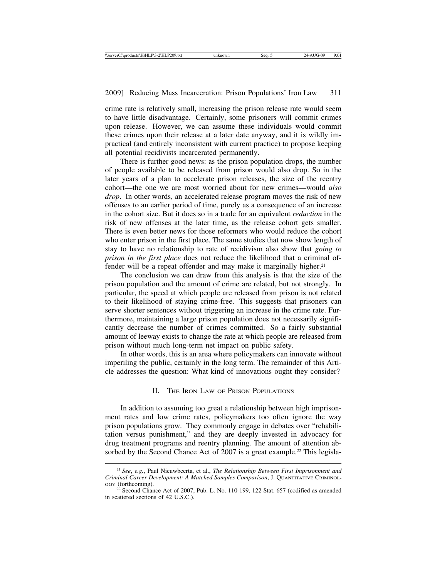crime rate is relatively small, increasing the prison release rate would seem to have little disadvantage. Certainly, some prisoners will commit crimes upon release. However, we can assume these individuals would commit these crimes upon their release at a later date anyway, and it is wildly impractical (and entirely inconsistent with current practice) to propose keeping all potential recidivists incarcerated permanently.

There is further good news: as the prison population drops, the number of people available to be released from prison would also drop. So in the later years of a plan to accelerate prison releases, the size of the reentry cohort—the one we are most worried about for new crimes—would *also drop*. In other words, an accelerated release program moves the risk of new offenses to an earlier period of time, purely as a consequence of an increase in the cohort size. But it does so in a trade for an equivalent *reduction* in the risk of new offenses at the later time, as the release cohort gets smaller. There is even better news for those reformers who would reduce the cohort who enter prison in the first place. The same studies that now show length of stay to have no relationship to rate of recidivism also show that *going to prison in the first place* does not reduce the likelihood that a criminal offender will be a repeat offender and may make it marginally higher.<sup>21</sup>

The conclusion we can draw from this analysis is that the size of the prison population and the amount of crime are related, but not strongly. In particular, the speed at which people are released from prison is not related to their likelihood of staying crime-free. This suggests that prisoners can serve shorter sentences without triggering an increase in the crime rate. Furthermore, maintaining a large prison population does not necessarily significantly decrease the number of crimes committed. So a fairly substantial amount of leeway exists to change the rate at which people are released from prison without much long-term net impact on public safety.

In other words, this is an area where policymakers can innovate without imperiling the public, certainly in the long term. The remainder of this Article addresses the question: What kind of innovations ought they consider?

# II. THE IRON LAW OF PRISON POPULATIONS

In addition to assuming too great a relationship between high imprisonment rates and low crime rates, policymakers too often ignore the way prison populations grow. They commonly engage in debates over "rehabilitation versus punishment," and they are deeply invested in advocacy for drug treatment programs and reentry planning. The amount of attention absorbed by the Second Chance Act of 2007 is a great example.<sup>22</sup> This legisla-

<sup>21</sup> *See*, *e.g.*, Paul Nieuwbeerta, et al., *The Relationship Between First Imprisonment and Criminal Career Development: A Matched Samples Comparison*, J. QUANTITATIVE CRIMINOL-OGY (forthcoming).

 $22$  Second Chance Act of 2007, Pub. L. No. 110-199, 122 Stat. 657 (codified as amended in scattered sections of 42 U.S.C.).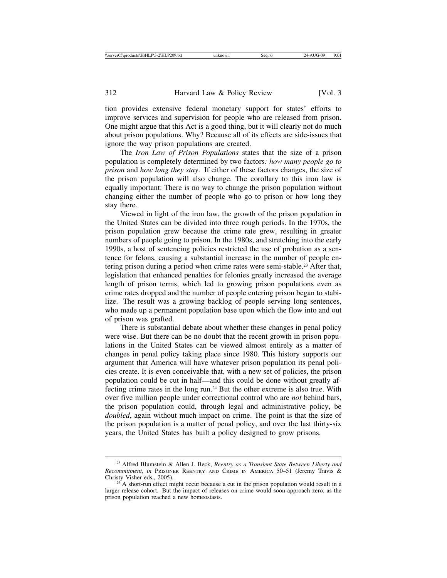tion provides extensive federal monetary support for states' efforts to improve services and supervision for people who are released from prison. One might argue that this Act is a good thing, but it will clearly not do much about prison populations. Why? Because all of its effects are side-issues that ignore the way prison populations are created.

The *Iron Law of Prison Populations* states that the size of a prison population is completely determined by two factors*: how many people go to prison* and *how long they stay*. If either of these factors changes, the size of the prison population will also change. The corollary to this iron law is equally important: There is no way to change the prison population without changing either the number of people who go to prison or how long they stay there.

Viewed in light of the iron law, the growth of the prison population in the United States can be divided into three rough periods. In the 1970s, the prison population grew because the crime rate grew, resulting in greater numbers of people going to prison. In the 1980s, and stretching into the early 1990s, a host of sentencing policies restricted the use of probation as a sentence for felons, causing a substantial increase in the number of people entering prison during a period when crime rates were semi-stable.<sup>23</sup> After that, legislation that enhanced penalties for felonies greatly increased the average length of prison terms, which led to growing prison populations even as crime rates dropped and the number of people entering prison began to stabilize. The result was a growing backlog of people serving long sentences, who made up a permanent population base upon which the flow into and out of prison was grafted.

There is substantial debate about whether these changes in penal policy were wise. But there can be no doubt that the recent growth in prison populations in the United States can be viewed almost entirely as a matter of changes in penal policy taking place since 1980. This history supports our argument that America will have whatever prison population its penal policies create. It is even conceivable that, with a new set of policies, the prison population could be cut in half—and this could be done without greatly affecting crime rates in the long run.24 But the other extreme is also true. With over five million people under correctional control who are *not* behind bars, the prison population could, through legal and administrative policy, be *doubled*, again without much impact on crime. The point is that the size of the prison population is a matter of penal policy, and over the last thirty-six years, the United States has built a policy designed to grow prisons.

<sup>23</sup> Alfred Blumstein & Allen J. Beck, *Reentry as a Transient State Between Liberty and Recommitment*, *in* PRISONER REENTRY AND CRIME IN AMERICA 50-51 (Jeremy Travis & Christy Visher eds., 2005).

 $24$  A short-run effect might occur because a cut in the prison population would result in a larger release cohort. But the impact of releases on crime would soon approach zero, as the prison population reached a new homeostasis.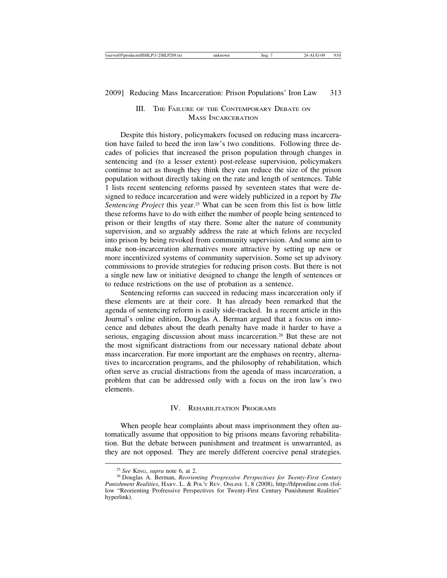# III. THE FAILURE OF THE CONTEMPORARY DEBATE ON MASS INCARCERATION

Despite this history, policymakers focused on reducing mass incarceration have failed to heed the iron law's two conditions. Following three decades of policies that increased the prison population through changes in sentencing and (to a lesser extent) post-release supervision, policymakers continue to act as though they think they can reduce the size of the prison population without directly taking on the rate and length of sentences. Table 1 lists recent sentencing reforms passed by seventeen states that were designed to reduce incarceration and were widely publicized in a report by *The Sentencing Project* this year.25 What can be seen from this list is how little these reforms have to do with either the number of people being sentenced to prison or their lengths of stay there. Some alter the nature of community supervision, and so arguably address the rate at which felons are recycled into prison by being revoked from community supervision. And some aim to make non-incarceration alternatives more attractive by setting up new or more incentivized systems of community supervision. Some set up advisory commissions to provide strategies for reducing prison costs. But there is not a single new law or initiative designed to change the length of sentences or to reduce restrictions on the use of probation as a sentence.

Sentencing reforms can succeed in reducing mass incarceration only if these elements are at their core. It has already been remarked that the agenda of sentencing reform is easily side-tracked. In a recent article in this Journal's online edition, Douglas A. Berman argued that a focus on innocence and debates about the death penalty have made it harder to have a serious, engaging discussion about mass incarceration.<sup>26</sup> But these are not the most significant distractions from our necessary national debate about mass incarceration. Far more important are the emphases on reentry, alternatives to incarceration programs, and the philosophy of rehabilitation, which often serve as crucial distractions from the agenda of mass incarceration, a problem that can be addressed only with a focus on the iron law's two elements.

#### IV. REHABILITATION PROGRAMS

When people hear complaints about mass imprisonment they often automatically assume that opposition to big prisons means favoring rehabilitation. But the debate between punishment and treatment is unwarranted, as they are not opposed. They are merely different coercive penal strategies.

<sup>25</sup> *See* KING, *supra* note 6, at 2. <sup>26</sup> Douglas A. Berman, *Reorienting Progressive Perspectives for Twenty-First Century Punishment Realities*, HARV. L. & POL'Y REV. ONLINE 1, 8 (2008), http://hlpronline.com (follow "Reorienting Profressive Perspectives for Twenty-First Century Punishment Realities" hyperlink).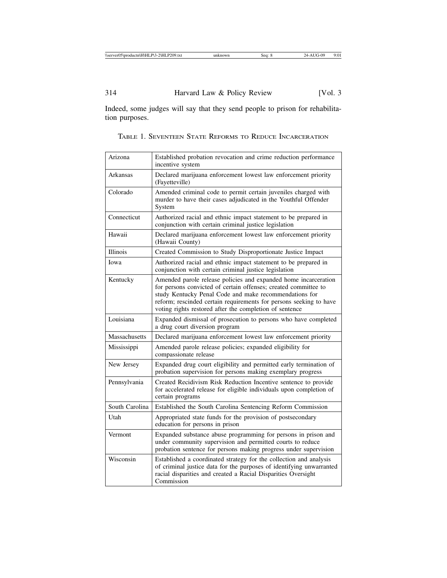Indeed, some judges will say that they send people to prison for rehabilitation purposes.

| Arizona         | Established probation revocation and crime reduction performance<br>incentive system                                                                                                                                                                                                                                          |
|-----------------|-------------------------------------------------------------------------------------------------------------------------------------------------------------------------------------------------------------------------------------------------------------------------------------------------------------------------------|
| Arkansas        | Declared marijuana enforcement lowest law enforcement priority<br>(Fayetteville)                                                                                                                                                                                                                                              |
| Colorado        | Amended criminal code to permit certain juveniles charged with<br>murder to have their cases adjudicated in the Youthful Offender<br>System                                                                                                                                                                                   |
| Connecticut     | Authorized racial and ethnic impact statement to be prepared in<br>conjunction with certain criminal justice legislation                                                                                                                                                                                                      |
| Hawaii          | Declared marijuana enforcement lowest law enforcement priority<br>(Hawaii County)                                                                                                                                                                                                                                             |
| <b>Illinois</b> | Created Commission to Study Disproportionate Justice Impact                                                                                                                                                                                                                                                                   |
| Iowa            | Authorized racial and ethnic impact statement to be prepared in<br>conjunction with certain criminal justice legislation                                                                                                                                                                                                      |
| Kentucky        | Amended parole release policies and expanded home incarceration<br>for persons convicted of certain offenses; created committee to<br>study Kentucky Penal Code and make recommendations for<br>reform; rescinded certain requirements for persons seeking to have<br>voting rights restored after the completion of sentence |
| Louisiana       | Expanded dismissal of prosecution to persons who have completed<br>a drug court diversion program                                                                                                                                                                                                                             |
| Massachusetts   | Declared marijuana enforcement lowest law enforcement priority                                                                                                                                                                                                                                                                |
| Mississippi     | Amended parole release policies; expanded eligibility for<br>compassionate release                                                                                                                                                                                                                                            |
| New Jersey      | Expanded drug court eligibility and permitted early termination of<br>probation supervision for persons making exemplary progress                                                                                                                                                                                             |
| Pennsylvania    | Created Recidivism Risk Reduction Incentive sentence to provide<br>for accelerated release for eligible individuals upon completion of<br>certain programs                                                                                                                                                                    |
| South Carolina  | Established the South Carolina Sentencing Reform Commission                                                                                                                                                                                                                                                                   |
| Utah            | Appropriated state funds for the provision of postsecondary<br>education for persons in prison                                                                                                                                                                                                                                |
| Vermont         | Expanded substance abuse programming for persons in prison and<br>under community supervision and permitted courts to reduce<br>probation sentence for persons making progress under supervision                                                                                                                              |
| Wisconsin       | Established a coordinated strategy for the collection and analysis<br>of criminal justice data for the purposes of identifying unwarranted<br>racial disparities and created a Racial Disparities Oversight<br>Commission                                                                                                     |

TABLE 1. SEVENTEEN STATE REFORMS TO REDUCE INCARCERATION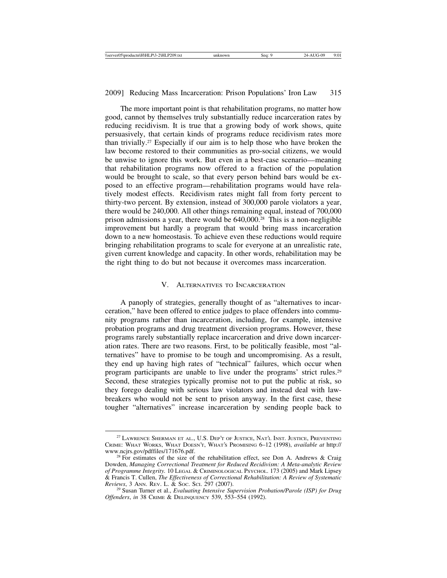The more important point is that rehabilitation programs, no matter how good, cannot by themselves truly substantially reduce incarceration rates by reducing recidivism. It is true that a growing body of work shows, quite persuasively, that certain kinds of programs reduce recidivism rates more than trivially.27 Especially if our aim is to help those who have broken the law become restored to their communities as pro-social citizens, we would be unwise to ignore this work. But even in a best-case scenario—meaning that rehabilitation programs now offered to a fraction of the population would be brought to scale, so that every person behind bars would be exposed to an effective program—rehabilitation programs would have relatively modest effects. Recidivism rates might fall from forty percent to thirty-two percent. By extension, instead of 300,000 parole violators a year, there would be 240,000. All other things remaining equal, instead of 700,000 prison admissions a year, there would be  $640,000$ <sup>28</sup>. This is a non-negligible improvement but hardly a program that would bring mass incarceration down to a new homeostasis. To achieve even these reductions would require bringing rehabilitation programs to scale for everyone at an unrealistic rate, given current knowledge and capacity. In other words, rehabilitation may be the right thing to do but not because it overcomes mass incarceration.

# V. ALTERNATIVES TO INCARCERATION

A panoply of strategies, generally thought of as "alternatives to incarceration," have been offered to entice judges to place offenders into community programs rather than incarceration, including, for example, intensive probation programs and drug treatment diversion programs. However, these programs rarely substantially replace incarceration and drive down incarceration rates. There are two reasons. First, to be politically feasible, most "alternatives" have to promise to be tough and uncompromising. As a result, they end up having high rates of "technical" failures, which occur when program participants are unable to live under the programs' strict rules.29 Second, these strategies typically promise not to put the public at risk, so they forego dealing with serious law violators and instead deal with lawbreakers who would not be sent to prison anyway. In the first case, these tougher "alternatives" increase incarceration by sending people back to

<sup>&</sup>lt;sup>27</sup> LAWRENCE SHERMAN ET AL., U.S. DEP'T OF JUSTICE, NAT'L INST. JUSTICE, PREVENTING CRIME: WHAT WORKS, WHAT DOESN'T, WHAT'S PROMISING 6–12 (1998), *available at* http://

<sup>&</sup>lt;sup>28</sup> For estimates of the size of the rehabilitation effect, see Don A. Andrews & Craig Dowden, *Managing Correctional Treatment for Reduced Recidivism: A Meta-analytic Review of Programme Integrity.* 10 LEGAL & CRIMINOLOGICAL PSYCHOL. 173 (2005) and Mark Lipsey & Francis T. Cullen, *The Effectiveness of Correctional Rehabilitation: A Review of Systematic*

<sup>&</sup>lt;sup>29</sup> Susan Turner et al., *Evaluating Intensive Supervision Probation/Parole (ISP) for Drug Offenders*, *in* 38 CRIME & DELINQUENCY 539, 553–554 (1992).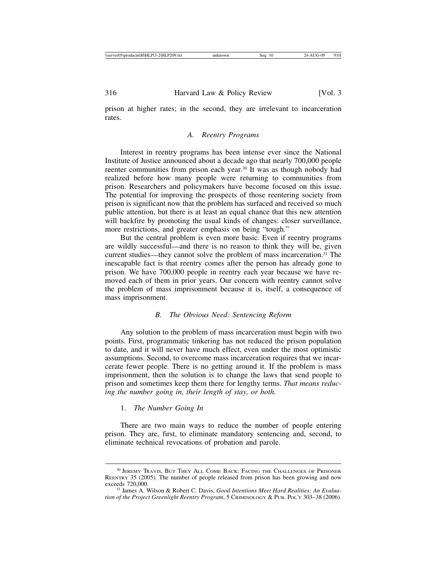prison at higher rates; in the second, they are irrelevant to incarceration rates.

# *A. Reentry Programs*

Interest in reentry programs has been intense ever since the National Institute of Justice announced about a decade ago that nearly 700,000 people reenter communities from prison each year.30 It was as though nobody had realized before how many people were returning to communities from prison. Researchers and policymakers have become focused on this issue. The potential for improving the prospects of those reentering society from prison is significant now that the problem has surfaced and received so much public attention, but there is at least an equal chance that this new attention will backfire by promoting the usual kinds of changes: closer surveillance, more restrictions, and greater emphasis on being "tough."

But the central problem is even more basic. Even if reentry programs are wildly successful—and there is no reason to think they will be, given current studies—they cannot solve the problem of mass incarceration.<sup>31</sup> The inescapable fact is that reentry comes after the person has already gone to prison. We have 700,000 people in reentry each year because we have removed each of them in prior years. Our concern with reentry cannot solve the problem of mass imprisonment because it is, itself, a consequence of mass imprisonment.

#### *B. The Obvious Need: Sentencing Reform*

Any solution to the problem of mass incarceration must begin with two points. First, programmatic tinkering has not reduced the prison population to date, and it will never have much effect, even under the most optimistic assumptions. Second, to overcome mass incarceration requires that we incarcerate fewer people. There is no getting around it. If the problem is mass imprisonment, then the solution is to change the laws that send people to prison and sometimes keep them there for lengthy terms. *That means reducing the number going in, their length of stay, or both.*

#### 1. *The Number Going In*

There are two main ways to reduce the number of people entering prison. They are, first, to eliminate mandatory sentencing and, second, to eliminate technical revocations of probation and parole.

<sup>&</sup>lt;sup>30</sup> JEREMY TRAVIS, BUT THEY ALL COME BACK: FACING THE CHALLENGES OF PRISONER REENTRY 35 (2005). The number of people released from prison has been growing and now

<sup>&</sup>lt;sup>31</sup> James A. Wilson & Robert C. Davis, *Good Intentions Meet Hard Realities: An Evaluation of the Project Greenlight Reentry Program*, 5 CRIMINOLOGY & PUB. POL'Y 303–38 (2006).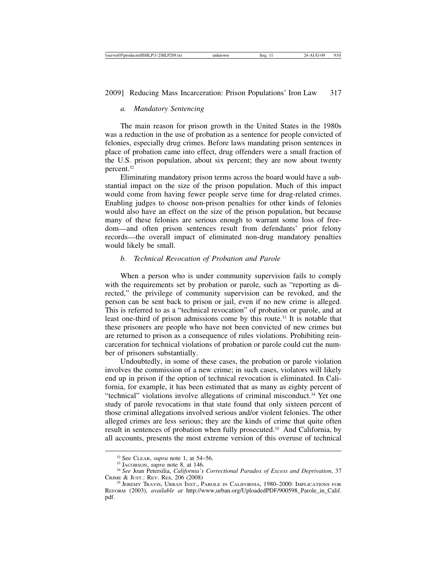# *a. Mandatory Sentencing*

The main reason for prison growth in the United States in the 1980s was a reduction in the use of probation as a sentence for people convicted of felonies, especially drug crimes. Before laws mandating prison sentences in place of probation came into effect, drug offenders were a small fraction of the U.S. prison population, about six percent; they are now about twenty percent.32

Eliminating mandatory prison terms across the board would have a substantial impact on the size of the prison population. Much of this impact would come from having fewer people serve time for drug-related crimes. Enabling judges to choose non-prison penalties for other kinds of felonies would also have an effect on the size of the prison population, but because many of these felonies are serious enough to warrant some loss of freedom—and often prison sentences result from defendants' prior felony records—the overall impact of eliminated non-drug mandatory penalties would likely be small.

#### *b. Technical Revocation of Probation and Parole*

When a person who is under community supervision fails to comply with the requirements set by probation or parole, such as "reporting as directed," the privilege of community supervision can be revoked, and the person can be sent back to prison or jail, even if no new crime is alleged. This is referred to as a "technical revocation" of probation or parole, and at least one-third of prison admissions come by this route.33 It is notable that these prisoners are people who have not been convicted of new crimes but are returned to prison as a consequence of rules violations. Prohibiting reincarceration for technical violations of probation or parole could cut the number of prisoners substantially.

Undoubtedly, in some of these cases, the probation or parole violation involves the commission of a new crime; in such cases, violators will likely end up in prison if the option of technical revocation is eliminated. In California, for example, it has been estimated that as many as eighty percent of "technical" violations involve allegations of criminal misconduct.<sup>34</sup> Yet one study of parole revocations in that state found that only sixteen percent of those criminal allegations involved serious and/or violent felonies. The other alleged crimes are less serious; they are the kinds of crime that quite often result in sentences of probation when fully prosecuted.35 And California, by all accounts, presents the most extreme version of this overuse of technical

<sup>&</sup>lt;sup>32</sup> See CLEAR, *supra* note 1, at 54–56.<br><sup>33</sup> JACOBSON, *supra* note 8, at 146.<br><sup>34</sup> *See* Joan Petersilia, *California's Correctional Paradox of Excess and Deprivation*, 37<br>CRIME & JUST.: REV. RES, 206 (2008)

<sup>&</sup>lt;sup>35</sup> JEREMY TRAVIS, URBAN INST., PAROLE IN CALIFORNIA, 1980–2000: IMPLICATIONS FOR REFORM (2003), *available at* http://www,urban.org/UploadedPDF/900598\_Parole\_in\_Calif. pdf.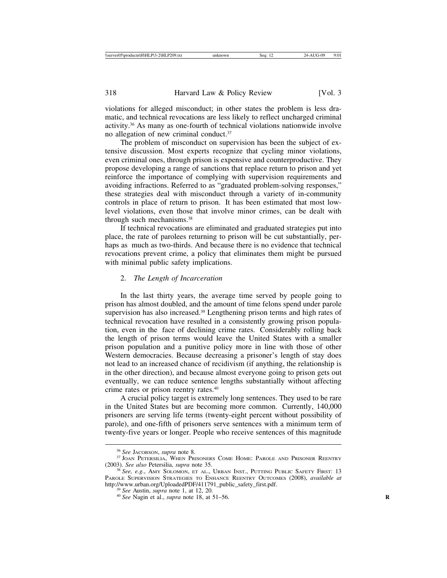violations for alleged misconduct; in other states the problem is less dramatic, and technical revocations are less likely to reflect uncharged criminal activity.36 As many as one-fourth of technical violations nationwide involve no allegation of new criminal conduct.37

The problem of misconduct on supervision has been the subject of extensive discussion. Most experts recognize that cycling minor violations, even criminal ones, through prison is expensive and counterproductive. They propose developing a range of sanctions that replace return to prison and yet reinforce the importance of complying with supervision requirements and avoiding infractions. Referred to as "graduated problem-solving responses," these strategies deal with misconduct through a variety of in-community controls in place of return to prison. It has been estimated that most lowlevel violations, even those that involve minor crimes, can be dealt with through such mechanisms.38

If technical revocations are eliminated and graduated strategies put into place, the rate of parolees returning to prison will be cut substantially, perhaps as much as two-thirds. And because there is no evidence that technical revocations prevent crime, a policy that eliminates them might be pursued with minimal public safety implications.

#### 2. *The Length of Incarceration*

In the last thirty years, the average time served by people going to prison has almost doubled, and the amount of time felons spend under parole supervision has also increased.<sup>39</sup> Lengthening prison terms and high rates of technical revocation have resulted in a consistently growing prison population, even in the face of declining crime rates. Considerably rolling back the length of prison terms would leave the United States with a smaller prison population and a punitive policy more in line with those of other Western democracies. Because decreasing a prisoner's length of stay does not lead to an increased chance of recidivism (if anything, the relationship is in the other direction), and because almost everyone going to prison gets out eventually, we can reduce sentence lengths substantially without affecting crime rates or prison reentry rates.40

A crucial policy target is extremely long sentences. They used to be rare in the United States but are becoming more common. Currently, 140,000 prisoners are serving life terms (twenty-eight percent without possibility of parole), and one-fifth of prisoners serve sentences with a minimum term of twenty-five years or longer. People who receive sentences of this magnitude

<sup>&</sup>lt;sup>36</sup> See JACOBSON, *supra* note 8.<br><sup>37</sup> JOAN PETERSILIA, WHEN PRISONERS COME HOME: PAROLE AND PRISONER REENTRY (2003). See also Petersilia, *supra* note 35.

<sup>&</sup>lt;sup>38</sup> See, e.g., AMY SOLOMON, ET AL., URBAN INST., PUTTING PUBLIC SAFETY FIRST: 13 PAROLE SUPERVISION STRATEGIES TO ENHANCE REENTRY OUTCOMES (2008), *available at* http://www.urban.org/UploadedPDF/411791\_public\_safety\_first.pdf. <sup>39</sup> *See* Austin, *supra* note 1, at 12, 20. <sup>40</sup> *See* Nagin et al., *supra* note 18, at 51–56.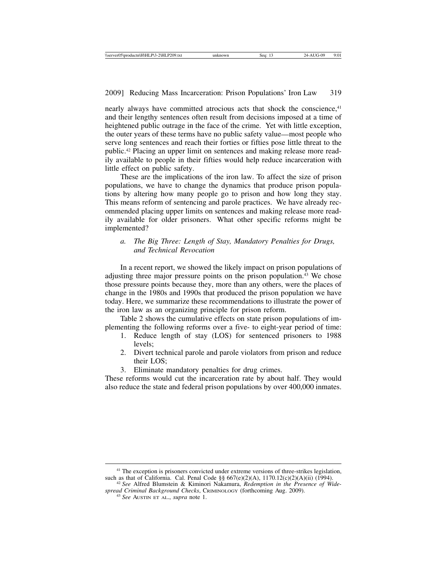nearly always have committed atrocious acts that shock the conscience,<sup>41</sup> and their lengthy sentences often result from decisions imposed at a time of heightened public outrage in the face of the crime. Yet with little exception, the outer years of these terms have no public safety value—most people who serve long sentences and reach their forties or fifties pose little threat to the public.42 Placing an upper limit on sentences and making release more readily available to people in their fifties would help reduce incarceration with little effect on public safety.

These are the implications of the iron law. To affect the size of prison populations, we have to change the dynamics that produce prison populations by altering how many people go to prison and how long they stay. This means reform of sentencing and parole practices. We have already recommended placing upper limits on sentences and making release more readily available for older prisoners. What other specific reforms might be implemented?

## *a. The Big Three: Length of Stay, Mandatory Penalties for Drugs, and Technical Revocation*

In a recent report, we showed the likely impact on prison populations of adjusting three major pressure points on the prison population.43 We chose those pressure points because they, more than any others, were the places of change in the 1980s and 1990s that produced the prison population we have today. Here, we summarize these recommendations to illustrate the power of the iron law as an organizing principle for prison reform.

Table 2 shows the cumulative effects on state prison populations of implementing the following reforms over a five- to eight-year period of time:

- 1. Reduce length of stay (LOS) for sentenced prisoners to 1988 levels;
- 2. Divert technical parole and parole violators from prison and reduce their LOS;
- 3. Eliminate mandatory penalties for drug crimes.

These reforms would cut the incarceration rate by about half. They would also reduce the state and federal prison populations by over 400,000 inmates.

<sup>&</sup>lt;sup>41</sup> The exception is prisoners convicted under extreme versions of three-strikes legislation, such as that of California. Cal. Penal Code §§ 667(e)(2)(A), 1170.12(c)(2)(A)(ii) (1994). <sup>42</sup> *See* Alfred Blumstein & Kiminori Nakamura, *Redemption in the Presence of Wide-*

*spread Criminal Background Checks*, CRIMINOLOGY (forthcoming Aug. 2009). <sup>43</sup> *See* AUSTIN ET AL., *supra* note 1.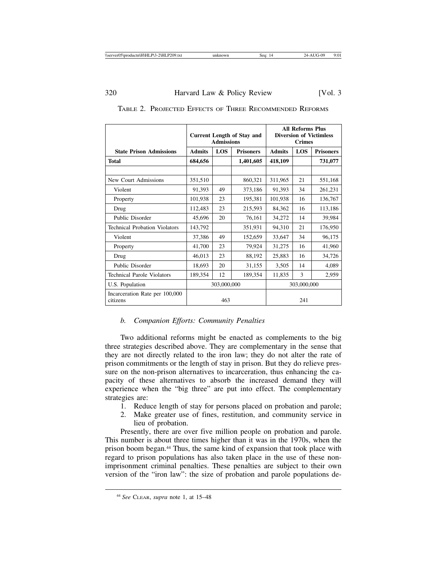|                                            | <b>Current Length of Stay and</b><br><b>Admissions</b> |            |                  | <b>All Reforms Plus</b><br><b>Diversion of Victimless</b><br><b>Crimes</b> |     |                  |  |
|--------------------------------------------|--------------------------------------------------------|------------|------------------|----------------------------------------------------------------------------|-----|------------------|--|
| <b>State Prison Admissions</b>             | <b>Admits</b>                                          | <b>LOS</b> | <b>Prisoners</b> | <b>Admits</b>                                                              | LOS | <b>Prisoners</b> |  |
| <b>Total</b>                               | 684,656                                                |            | 1,401,605        | 418,109                                                                    |     | 731,077          |  |
|                                            |                                                        |            |                  |                                                                            |     |                  |  |
| New Court Admissions                       | 351,510                                                |            | 860,321          | 311,965                                                                    | 21  | 551,168          |  |
| Violent                                    | 91,393                                                 | 49         | 373,186          | 91,393                                                                     | 34  | 261,231          |  |
| Property                                   | 101,938                                                | 23         | 195,381          | 101,938                                                                    | 16  | 136,767          |  |
| Drug                                       | 112,483                                                | 23         | 215,593          | 84,362                                                                     | 16  | 113,186          |  |
| Public Disorder                            | 45,696                                                 | 20         | 76,161           | 34,272                                                                     | 14  | 39,984           |  |
| <b>Technical Probation Violators</b>       | 143,792                                                |            | 351,931          | 94,310                                                                     | 21  | 176,950          |  |
| Violent                                    | 37,386                                                 | 49         | 152,659          | 33,647                                                                     | 34  | 96,175           |  |
| Property                                   | 41,700                                                 | 23         | 79,924           | 31,275                                                                     | 16  | 41,960           |  |
| Drug                                       | 46,013                                                 | 23         | 88,192           | 25,883                                                                     | 16  | 34,726           |  |
| Public Disorder                            | 18,693                                                 | 20         | 31,155           | 3,505                                                                      | 14  | 4,089            |  |
| <b>Technical Parole Violators</b>          | 189,354                                                | 12         | 189,354          | 11,835                                                                     | 3   | 2,959            |  |
| U.S. Population                            | 303,000,000                                            |            |                  | 303,000,000                                                                |     |                  |  |
| Incarceration Rate per 100,000<br>citizens | 463                                                    |            |                  | 241                                                                        |     |                  |  |

TABLE 2. PROJECTED EFFECTS OF THREE RECOMMENDED REFORMS

# *b. Companion Efforts: Community Penalties*

Two additional reforms might be enacted as complements to the big three strategies described above. They are complementary in the sense that they are not directly related to the iron law; they do not alter the rate of prison commitments or the length of stay in prison. But they do relieve pressure on the non-prison alternatives to incarceration, thus enhancing the capacity of these alternatives to absorb the increased demand they will experience when the "big three" are put into effect. The complementary strategies are:

- 1. Reduce length of stay for persons placed on probation and parole;
- 2. Make greater use of fines, restitution, and community service in lieu of probation.

Presently, there are over five million people on probation and parole. This number is about three times higher than it was in the 1970s, when the prison boom began.44 Thus, the same kind of expansion that took place with regard to prison populations has also taken place in the use of these nonimprisonment criminal penalties. These penalties are subject to their own version of the "iron law": the size of probation and parole populations de-

<sup>44</sup> *See* CLEAR, *supra* note 1, at 15–48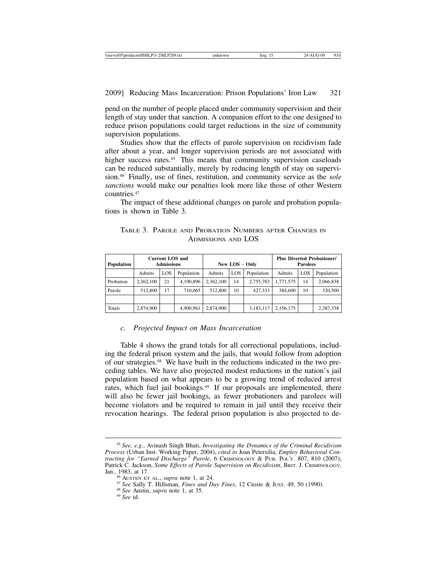pend on the number of people placed under community supervision and their length of stay under that sanction. A companion effort to the one designed to reduce prison populations could target reductions in the size of community supervision populations.

Studies show that the effects of parole supervision on recidivism fade after about a year, and longer supervision periods are not associated with higher success rates.<sup>45</sup> This means that community supervision caseloads can be reduced substantially, merely by reducing length of stay on supervision.46 Finally, use of fines, restitution, and community service as the *sole sanctions* would make our penalties look more like those of other Western countries.47

The impact of these additional changes on parole and probation populations is shown in Table 3.

| <b>Population</b> | <b>Current LOS and</b><br><b>Admissions</b> |     |            | New LOS - Only |     |            | <b>Plus Diverted Probationer/</b><br><b>Parolees</b> |     |            |
|-------------------|---------------------------------------------|-----|------------|----------------|-----|------------|------------------------------------------------------|-----|------------|
|                   | Admits                                      | LOS | Population | Admits         | LOS | Population | Admits                                               | LOS | Population |
| Probation         | 2,362,100                                   | 21  | 4,190,896  | 2.362,100      | 14  | 2,755,783  | 1.771.575                                            | 14  | 2,066,838  |
| Parole            | 512,800                                     | 17  | 710,065    | 512,800        | 10  | 427.333    | 384,600                                              | 10  | 320,500    |
|                   |                                             |     |            |                |     |            |                                                      |     |            |
| Totals            | 2,874,900                                   |     | 4,900,961  | 2,874,900      |     | 3,183,117  | 2,156,175                                            |     | 2,387,338  |

TABLE 3. PAROLE AND PROBATION NUMBERS AFTER CHANGES IN ADMISSIONS AND LOS

#### *c. Projected Impact on Mass Incarceration*

Table 4 shows the grand totals for all correctional populations, including the federal prison system and the jails, that would follow from adoption of our strategies.48 We have built in the reductions indicated in the two preceding tables. We have also projected modest reductions in the nation's jail population based on what appears to be a growing trend of reduced arrest rates, which fuel jail bookings.<sup>49</sup> If our proposals are implemented, there will also be fewer jail bookings, as fewer probationers and parolees will become violators and be required to remain in jail until they receive their revocation hearings. The federal prison population is also projected to de-

<sup>46</sup> AUSTEN ET AL., *supra* note 1, at 24.<br><sup>47</sup> *See* Sally T. Hillsman, *Fines and Day Fines*, 12 CRIME & JUST. 49, 50 (1990).<br><sup>48</sup> *See* Austin, *supra* note 1, at 35.<br><sup>49</sup> *See* id.

<sup>45</sup> *See, e.g.*, Avinash Singh Bhati, *Investigating the Dynamics of the Criminal Recidivism Process* (Urban Inst. Working Paper, 2004), *cited in* Joan Petersilia, *Employ Behavioral Contracting for "Earned Discharge" Parole*, 6 CRIMINOLOGY & PUB. POL'Y. 807, 810 (2007); Patrick C. Jackson, *Some Effects of Parole Supervision on Recidivism*, BRIT. J. CRIMINOLOGY, Jan., 1983, at 17.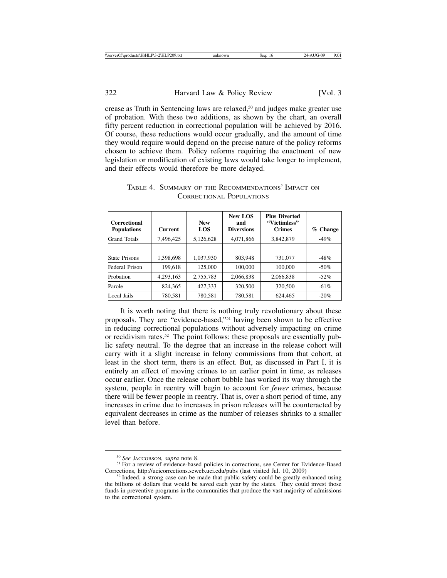crease as Truth in Sentencing laws are relaxed,<sup>50</sup> and judges make greater use of probation. With these two additions, as shown by the chart, an overall fifty percent reduction in correctional population will be achieved by 2016. Of course, these reductions would occur gradually, and the amount of time they would require would depend on the precise nature of the policy reforms chosen to achieve them. Policy reforms requiring the enactment of new legislation or modification of existing laws would take longer to implement, and their effects would therefore be more delayed.

| <b>Correctional</b><br><b>Populations</b> | <b>Current</b> | <b>New</b><br>LOS | New LOS<br>and<br><b>Diversions</b> | <b>Plus Diverted</b><br>"Victimless"<br><b>Crimes</b> | $%$ Change |
|-------------------------------------------|----------------|-------------------|-------------------------------------|-------------------------------------------------------|------------|
| <b>Grand Totals</b>                       | 7,496,425      | 5,126,628         | 4,071,866                           | 3,842,879                                             | $-49%$     |
| <b>State Prisons</b>                      | 1,398,698      | 1,037,930         | 803,948                             | 731,077                                               | $-48%$     |
| Federal Prison                            | 199,618        | 125,000           | 100,000                             | 100,000                                               | $-50\%$    |
| Probation                                 | 4,293,163      | 2,755,783         | 2,066,838                           | 2,066,838                                             | $-52\%$    |
| Parole                                    | 824,365        | 427,333           | 320,500                             | 320,500                                               | $-61%$     |
| Local Jails                               | 780,581        | 780,581           | 780,581                             | 624,465                                               | $-20%$     |

|                          |  |  | TABLE 4. SUMMARY OF THE RECOMMENDATIONS' IMPACT ON |  |  |  |  |  |
|--------------------------|--|--|----------------------------------------------------|--|--|--|--|--|
| CORRECTIONAL POPULATIONS |  |  |                                                    |  |  |  |  |  |

It is worth noting that there is nothing truly revolutionary about these proposals. They are "evidence-based,"51 having been shown to be effective in reducing correctional populations without adversely impacting on crime or recidivism rates.52 The point follows: these proposals are essentially public safety neutral. To the degree that an increase in the release cohort will carry with it a slight increase in felony commissions from that cohort, at least in the short term, there is an effect. But, as discussed in Part I, it is entirely an effect of moving crimes to an earlier point in time, as releases occur earlier. Once the release cohort bubble has worked its way through the system, people in reentry will begin to account for *fewer* crimes, because there will be fewer people in reentry. That is, over a short period of time, any increases in crime due to increases in prison releases will be counteracted by equivalent decreases in crime as the number of releases shrinks to a smaller level than before.

<sup>&</sup>lt;sup>50</sup> *See* JACCOBSON, *supra* note 8.<br><sup>51</sup> For a review of evidence-based policies in corrections, see Center for Evidence-Based<br>Corrections, http://ucicorrections.seweb.uci.edu/pubs (last visited Jul. 10, 2009)

Corrections, http://ucicorrections.seweb.uci.edu/pubs (last visited Jul. 10, 2009)<br><sup>52</sup> Indeed, a strong case can be made that public safety could be greatly enhanced using the billions of dollars that would be saved each year by the states. They could invest those funds in preventive programs in the communities that produce the vast majority of admissions to the correctional system.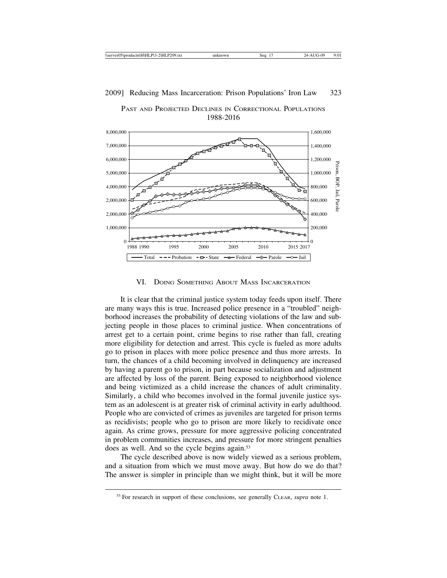

PAST AND PROJECTED DECLINES IN CORRECTIONAL POPULATIONS 1988-2016

VI. DOING SOMETHING ABOUT MASS INCARCERATION

It is clear that the criminal justice system today feeds upon itself. There are many ways this is true. Increased police presence in a "troubled" neighborhood increases the probability of detecting violations of the law and subjecting people in those places to criminal justice. When concentrations of arrest get to a certain point, crime begins to rise rather than fall, creating more eligibility for detection and arrest. This cycle is fueled as more adults go to prison in places with more police presence and thus more arrests. In turn, the chances of a child becoming involved in delinquency are increased by having a parent go to prison, in part because socialization and adjustment are affected by loss of the parent. Being exposed to neighborhood violence and being victimized as a child increase the chances of adult criminality. Similarly, a child who becomes involved in the formal juvenile justice system as an adolescent is at greater risk of criminal activity in early adulthood. People who are convicted of crimes as juveniles are targeted for prison terms as recidivists; people who go to prison are more likely to recidivate once again. As crime grows, pressure for more aggressive policing concentrated in problem communities increases, and pressure for more stringent penalties does as well. And so the cycle begins again.<sup>53</sup>

The cycle described above is now widely viewed as a serious problem, and a situation from which we must move away. But how do we do that? The answer is simpler in principle than we might think, but it will be more

<sup>53</sup> For research in support of these conclusions, see generally CLEAR, *supra* note 1.